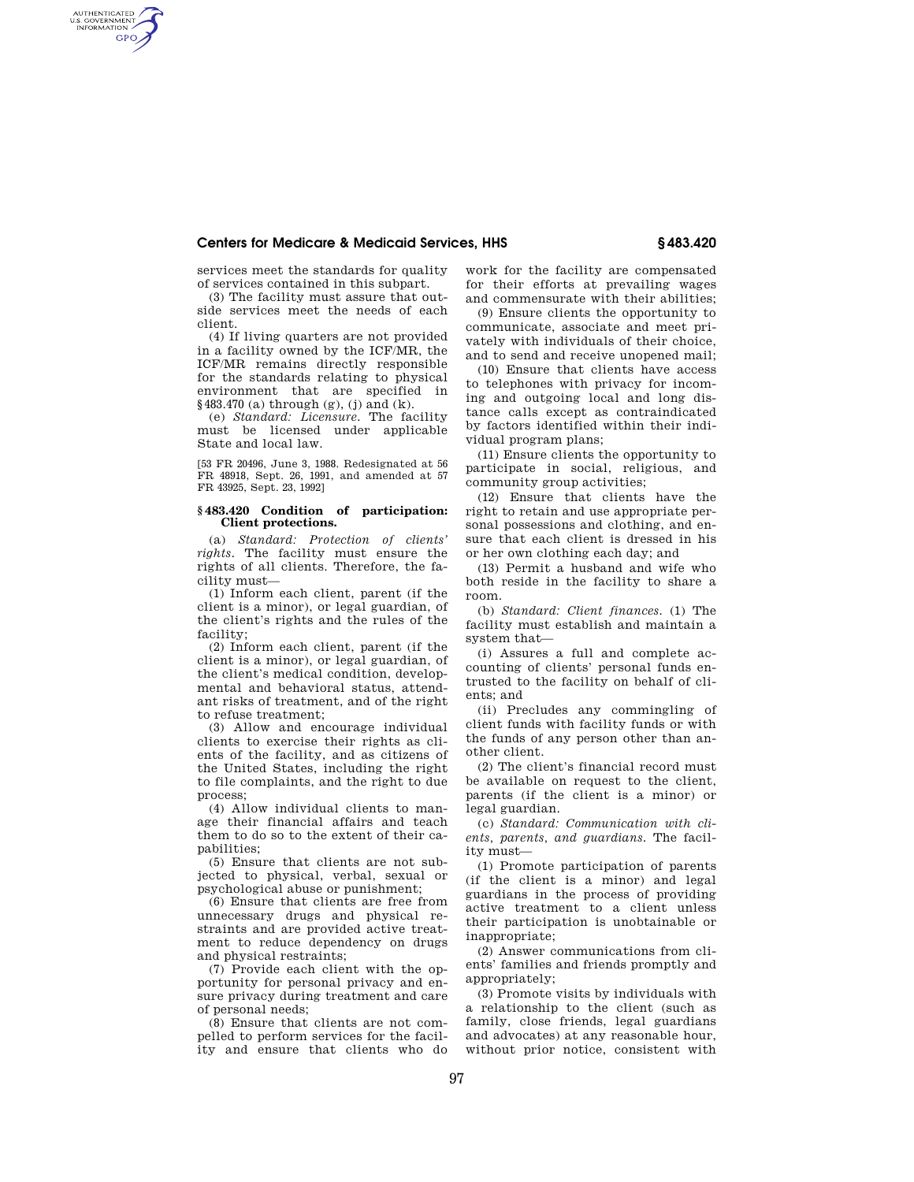## **Centers for Medicare & Medicaid Services, HHS § 483.420**

services meet the standards for quality of services contained in this subpart.

AUTHENTICATED<br>U.S. GOVERNMENT<br>INFORMATION **GPO** 

> (3) The facility must assure that outside services meet the needs of each client.

> (4) If living quarters are not provided in a facility owned by the ICF/MR, the ICF/MR remains directly responsible for the standards relating to physical environment that are specified in §483.470 (a) through (g), (j) and (k).

> (e) *Standard: Licensure.* The facility must be licensed under applicable State and local law.

> [53 FR 20496, June 3, 1988. Redesignated at 56 FR 48918, Sept. 26, 1991, and amended at 57 FR 43925, Sept. 23, 1992]

## **§ 483.420 Condition of participation: Client protections.**

(a) *Standard: Protection of clients' rights.* The facility must ensure the rights of all clients. Therefore, the facility must—

(1) Inform each client, parent (if the client is a minor), or legal guardian, of the client's rights and the rules of the facility;

(2) Inform each client, parent (if the client is a minor), or legal guardian, of the client's medical condition, developmental and behavioral status, attendant risks of treatment, and of the right to refuse treatment;

(3) Allow and encourage individual clients to exercise their rights as clients of the facility, and as citizens of the United States, including the right to file complaints, and the right to due process;

(4) Allow individual clients to manage their financial affairs and teach them to do so to the extent of their capabilities;

(5) Ensure that clients are not subjected to physical, verbal, sexual or psychological abuse or punishment;

(6) Ensure that clients are free from unnecessary drugs and physical restraints and are provided active treatment to reduce dependency on drugs and physical restraints;

(7) Provide each client with the opportunity for personal privacy and ensure privacy during treatment and care of personal needs;

(8) Ensure that clients are not compelled to perform services for the facility and ensure that clients who do

work for the facility are compensated for their efforts at prevailing wages and commensurate with their abilities;

(9) Ensure clients the opportunity to communicate, associate and meet privately with individuals of their choice, and to send and receive unopened mail;

(10) Ensure that clients have access to telephones with privacy for incoming and outgoing local and long distance calls except as contraindicated by factors identified within their individual program plans;

(11) Ensure clients the opportunity to participate in social, religious, and community group activities;

(12) Ensure that clients have the right to retain and use appropriate personal possessions and clothing, and ensure that each client is dressed in his or her own clothing each day; and

(13) Permit a husband and wife who both reside in the facility to share a room.

(b) *Standard: Client finances.* (1) The facility must establish and maintain a system that—

(i) Assures a full and complete accounting of clients' personal funds entrusted to the facility on behalf of clients; and

(ii) Precludes any commingling of client funds with facility funds or with the funds of any person other than another client.

(2) The client's financial record must be available on request to the client, parents (if the client is a minor) or legal guardian.

(c) *Standard: Communication with clients, parents, and guardians.* The facility must—

(1) Promote participation of parents (if the client is a minor) and legal guardians in the process of providing active treatment to a client unless their participation is unobtainable or inappropriate;

(2) Answer communications from clients' families and friends promptly and appropriately;

(3) Promote visits by individuals with a relationship to the client (such as family, close friends, legal guardians and advocates) at any reasonable hour, without prior notice, consistent with